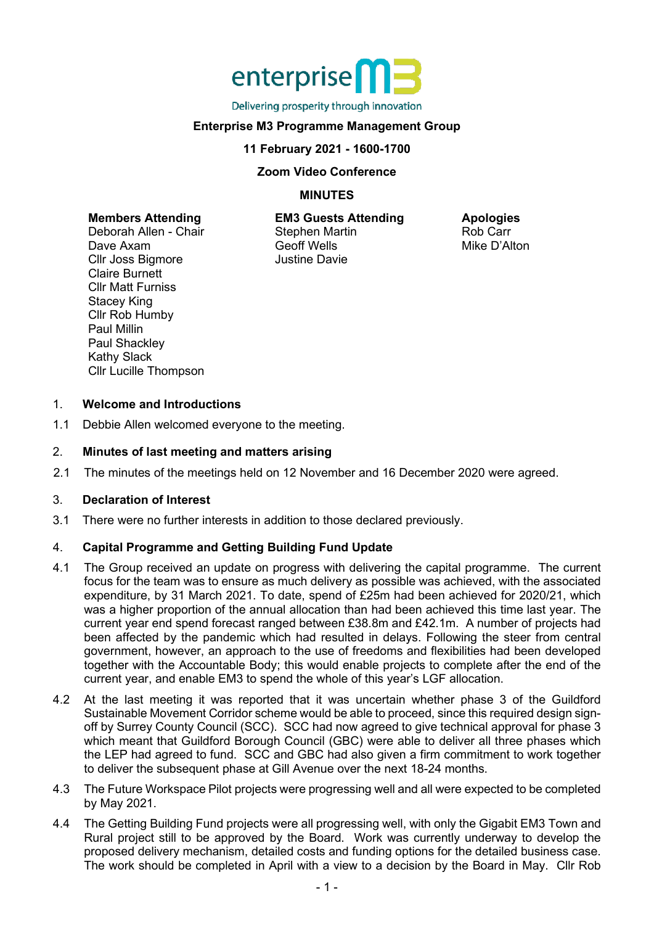

Delivering prosperity through innovation

# **Enterprise M3 Programme Management Group**

#### **11 February 2021 - 1600-1700**

#### **Zoom Video Conference**

# **MINUTES**

#### **Members Attending**

Deborah Allen - Chair Dave Axam Cllr Joss Bigmore Claire Burnett Cllr Matt Furniss Stacey King Cllr Rob Humby Paul Millin Paul Shackley Kathy Slack Cllr Lucille Thompson

**EM3 Guests Attending** Stephen Martin Geoff Wells Justine Davie

**Apologies** Rob Carr Mike D'Alton

#### 1. **Welcome and Introductions**

1.1 Debbie Allen welcomed everyone to the meeting.

### 2. **Minutes of last meeting and matters arising**

2.1 The minutes of the meetings held on 12 November and 16 December 2020 were agreed.

#### 3. **Declaration of Interest**

3.1 There were no further interests in addition to those declared previously.

# 4. **Capital Programme and Getting Building Fund Update**

- 4.1 The Group received an update on progress with delivering the capital programme. The current focus for the team was to ensure as much delivery as possible was achieved, with the associated expenditure, by 31 March 2021. To date, spend of £25m had been achieved for 2020/21, which was a higher proportion of the annual allocation than had been achieved this time last year. The current year end spend forecast ranged between £38.8m and £42.1m. A number of projects had been affected by the pandemic which had resulted in delays. Following the steer from central government, however, an approach to the use of freedoms and flexibilities had been developed together with the Accountable Body; this would enable projects to complete after the end of the current year, and enable EM3 to spend the whole of this year's LGF allocation.
- 4.2 At the last meeting it was reported that it was uncertain whether phase 3 of the Guildford Sustainable Movement Corridor scheme would be able to proceed, since this required design signoff by Surrey County Council (SCC). SCC had now agreed to give technical approval for phase 3 which meant that Guildford Borough Council (GBC) were able to deliver all three phases which the LEP had agreed to fund. SCC and GBC had also given a firm commitment to work together to deliver the subsequent phase at Gill Avenue over the next 18-24 months.
- 4.3 The Future Workspace Pilot projects were progressing well and all were expected to be completed by May 2021.
- 4.4 The Getting Building Fund projects were all progressing well, with only the Gigabit EM3 Town and Rural project still to be approved by the Board. Work was currently underway to develop the proposed delivery mechanism, detailed costs and funding options for the detailed business case. The work should be completed in April with a view to a decision by the Board in May. Cllr Rob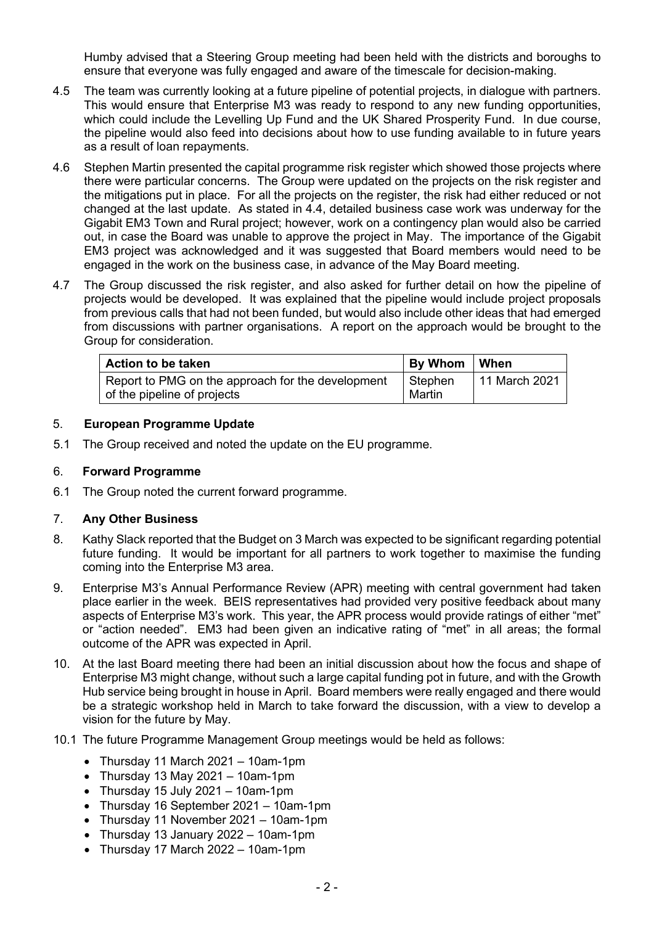Humby advised that a Steering Group meeting had been held with the districts and boroughs to ensure that everyone was fully engaged and aware of the timescale for decision-making.

- 4.5 The team was currently looking at a future pipeline of potential projects, in dialogue with partners. This would ensure that Enterprise M3 was ready to respond to any new funding opportunities, which could include the Levelling Up Fund and the UK Shared Prosperity Fund. In due course, the pipeline would also feed into decisions about how to use funding available to in future years as a result of loan repayments.
- 4.6 Stephen Martin presented the capital programme risk register which showed those projects where there were particular concerns. The Group were updated on the projects on the risk register and the mitigations put in place. For all the projects on the register, the risk had either reduced or not changed at the last update. As stated in 4.4, detailed business case work was underway for the Gigabit EM3 Town and Rural project; however, work on a contingency plan would also be carried out, in case the Board was unable to approve the project in May. The importance of the Gigabit EM3 project was acknowledged and it was suggested that Board members would need to be engaged in the work on the business case, in advance of the May Board meeting.
- 4.7 The Group discussed the risk register, and also asked for further detail on how the pipeline of projects would be developed. It was explained that the pipeline would include project proposals from previous calls that had not been funded, but would also include other ideas that had emerged from discussions with partner organisations. A report on the approach would be brought to the Group for consideration.

| By Whom   When |               |
|----------------|---------------|
| Stephen        | 11 March 2021 |
|                | Martin        |

# 5. **European Programme Update**

5.1 The Group received and noted the update on the EU programme.

# 6. **Forward Programme**

6.1 The Group noted the current forward programme.

# 7. **Any Other Business**

- 8. Kathy Slack reported that the Budget on 3 March was expected to be significant regarding potential future funding. It would be important for all partners to work together to maximise the funding coming into the Enterprise M3 area.
- 9. Enterprise M3's Annual Performance Review (APR) meeting with central government had taken place earlier in the week. BEIS representatives had provided very positive feedback about many aspects of Enterprise M3's work. This year, the APR process would provide ratings of either "met" or "action needed". EM3 had been given an indicative rating of "met" in all areas; the formal outcome of the APR was expected in April.
- 10. At the last Board meeting there had been an initial discussion about how the focus and shape of Enterprise M3 might change, without such a large capital funding pot in future, and with the Growth Hub service being brought in house in April. Board members were really engaged and there would be a strategic workshop held in March to take forward the discussion, with a view to develop a vision for the future by May.
- 10.1 The future Programme Management Group meetings would be held as follows:
	- Thursday 11 March 2021 10am-1pm
	- Thursday 13 May 2021 10am-1pm
	- Thursday 15 July 2021 10am-1pm
	- Thursday 16 September 2021 10am-1pm
	- Thursday 11 November 2021 10am-1pm
	- Thursday 13 January 2022 10am-1pm
	- Thursday 17 March 2022 10am-1pm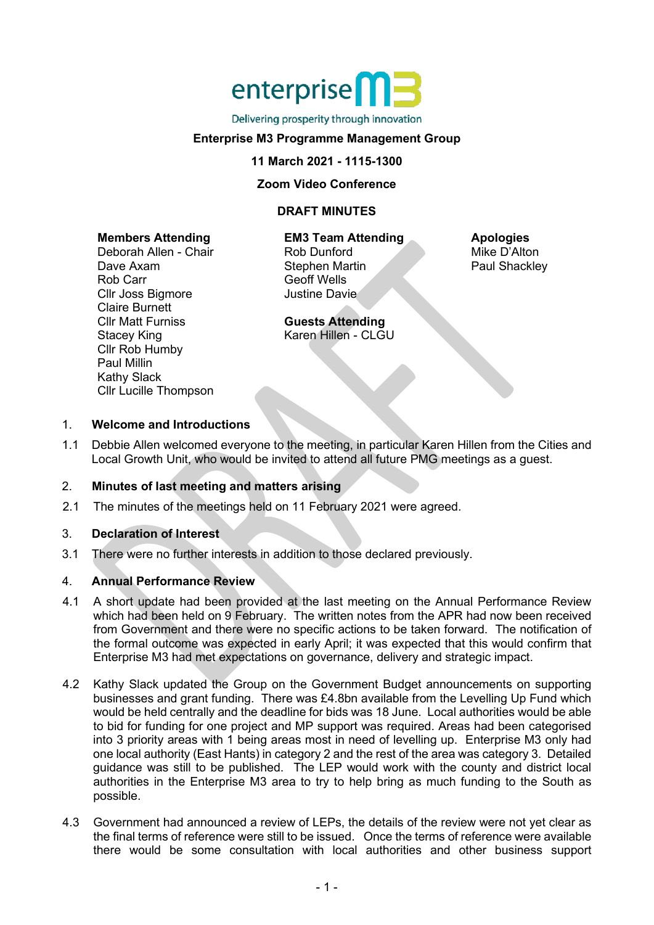# enterprise<sup>n</sup>

#### Delivering prosperity through innovation

# **Enterprise M3 Programme Management Group**

#### **11 March 2021 - 1115-1300**

#### **Zoom Video Conference**

# **DRAFT MINUTES**

#### **Members Attending**

Deborah Allen - Chair Dave Axam Rob Carr Cllr Joss Bigmore Claire Burnett Cllr Matt Furniss Stacey King Cllr Rob Humby Paul Millin Kathy Slack Cllr Lucille Thompson

### **EM3 Team Attending**

Rob Dunford Stephen Martin Geoff Wells Justine Davie

**Guests Attending** Karen Hillen - CLGU **Apologies** Mike D'Alton Paul Shackley

# 1. **Welcome and Introductions**

1.1 Debbie Allen welcomed everyone to the meeting, in particular Karen Hillen from the Cities and Local Growth Unit, who would be invited to attend all future PMG meetings as a guest.

# 2. **Minutes of last meeting and matters arising**

2.1 The minutes of the meetings held on 11 February 2021 were agreed.

# 3. **Declaration of Interest**

3.1 There were no further interests in addition to those declared previously.

# 4. **Annual Performance Review**

- 4.1 A short update had been provided at the last meeting on the Annual Performance Review which had been held on 9 February. The written notes from the APR had now been received from Government and there were no specific actions to be taken forward. The notification of the formal outcome was expected in early April; it was expected that this would confirm that Enterprise M3 had met expectations on governance, delivery and strategic impact.
- 4.2 Kathy Slack updated the Group on the Government Budget announcements on supporting businesses and grant funding. There was £4.8bn available from the Levelling Up Fund which would be held centrally and the deadline for bids was 18 June. Local authorities would be able to bid for funding for one project and MP support was required. Areas had been categorised into 3 priority areas with 1 being areas most in need of levelling up. Enterprise M3 only had one local authority (East Hants) in category 2 and the rest of the area was category 3. Detailed guidance was still to be published. The LEP would work with the county and district local authorities in the Enterprise M3 area to try to help bring as much funding to the South as possible.
- 4.3 Government had announced a review of LEPs, the details of the review were not yet clear as the final terms of reference were still to be issued. Once the terms of reference were available there would be some consultation with local authorities and other business support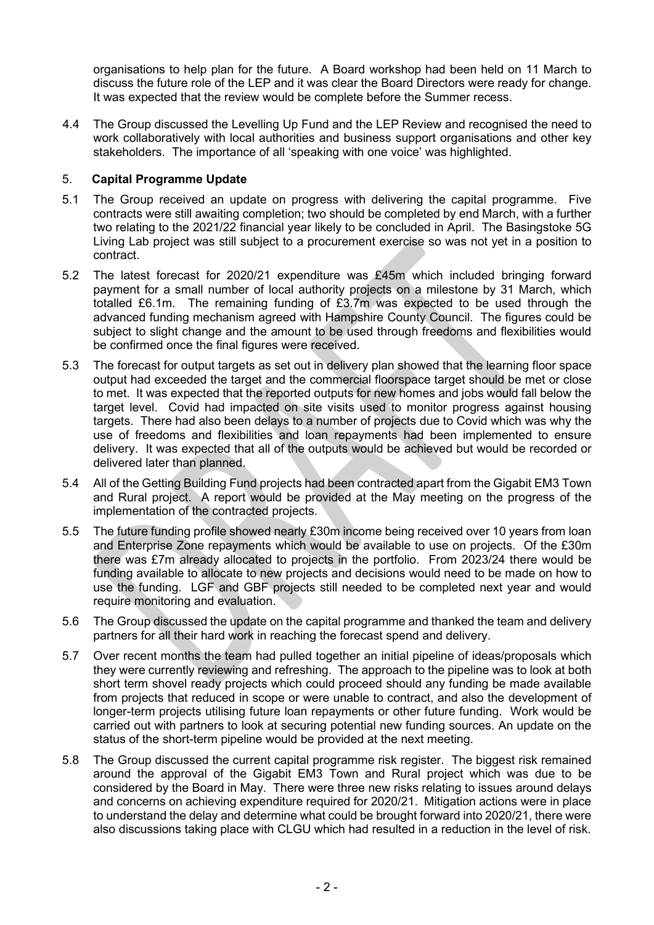organisations to help plan for the future. A Board workshop had been held on 11 March to discuss the future role of the LEP and it was clear the Board Directors were ready for change. It was expected that the review would be complete before the Summer recess.

4.4 The Group discussed the Levelling Up Fund and the LEP Review and recognised the need to work collaboratively with local authorities and business support organisations and other key stakeholders. The importance of all 'speaking with one voice' was highlighted.

# 5. **Capital Programme Update**

- 5.1 The Group received an update on progress with delivering the capital programme. Five contracts were still awaiting completion; two should be completed by end March, with a further two relating to the 2021/22 financial year likely to be concluded in April. The Basingstoke 5G Living Lab project was still subject to a procurement exercise so was not yet in a position to contract.
- 5.2 The latest forecast for 2020/21 expenditure was £45m which included bringing forward payment for a small number of local authority projects on a milestone by 31 March, which totalled £6.1m. The remaining funding of £3.7m was expected to be used through the advanced funding mechanism agreed with Hampshire County Council. The figures could be subject to slight change and the amount to be used through freedoms and flexibilities would be confirmed once the final figures were received.
- 5.3 The forecast for output targets as set out in delivery plan showed that the learning floor space output had exceeded the target and the commercial floorspace target should be met or close to met. It was expected that the reported outputs for new homes and jobs would fall below the target level. Covid had impacted on site visits used to monitor progress against housing targets. There had also been delays to a number of projects due to Covid which was why the use of freedoms and flexibilities and loan repayments had been implemented to ensure delivery. It was expected that all of the outputs would be achieved but would be recorded or delivered later than planned.
- 5.4 All of the Getting Building Fund projects had been contracted apart from the Gigabit EM3 Town and Rural project. A report would be provided at the May meeting on the progress of the implementation of the contracted projects.
- 5.5 The future funding profile showed nearly £30m income being received over 10 years from loan and Enterprise Zone repayments which would be available to use on projects. Of the £30m there was £7m already allocated to projects in the portfolio. From 2023/24 there would be funding available to allocate to new projects and decisions would need to be made on how to use the funding. LGF and GBF projects still needed to be completed next year and would require monitoring and evaluation.
- 5.6 The Group discussed the update on the capital programme and thanked the team and delivery partners for all their hard work in reaching the forecast spend and delivery.
- 5.7 Over recent months the team had pulled together an initial pipeline of ideas/proposals which they were currently reviewing and refreshing. The approach to the pipeline was to look at both short term shovel ready projects which could proceed should any funding be made available from projects that reduced in scope or were unable to contract, and also the development of longer-term projects utilising future loan repayments or other future funding. Work would be carried out with partners to look at securing potential new funding sources. An update on the status of the short-term pipeline would be provided at the next meeting.
- 5.8 The Group discussed the current capital programme risk register. The biggest risk remained around the approval of the Gigabit EM3 Town and Rural project which was due to be considered by the Board in May. There were three new risks relating to issues around delays and concerns on achieving expenditure required for 2020/21. Mitigation actions were in place to understand the delay and determine what could be brought forward into 2020/21, there were also discussions taking place with CLGU which had resulted in a reduction in the level of risk.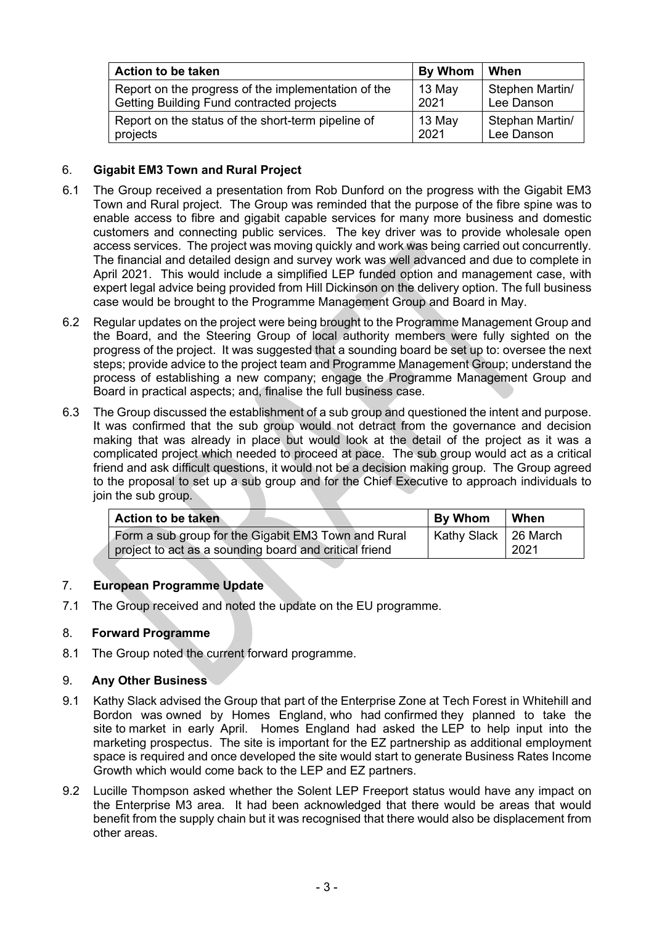| <b>Action to be taken</b>                           | By Whom | When            |
|-----------------------------------------------------|---------|-----------------|
| Report on the progress of the implementation of the | 13 May  | Stephen Martin/ |
| Getting Building Fund contracted projects           | 2021    | Lee Danson      |
| Report on the status of the short-term pipeline of  | 13 May  | Stephan Martin/ |
| projects                                            | 2021    | Lee Danson      |

# 6. **Gigabit EM3 Town and Rural Project**

- 6.1 The Group received a presentation from Rob Dunford on the progress with the Gigabit EM3 Town and Rural project. The Group was reminded that the purpose of the fibre spine was to enable access to fibre and gigabit capable services for many more business and domestic customers and connecting public services. The key driver was to provide wholesale open access services. The project was moving quickly and work was being carried out concurrently. The financial and detailed design and survey work was well advanced and due to complete in April 2021. This would include a simplified LEP funded option and management case, with expert legal advice being provided from Hill Dickinson on the delivery option. The full business case would be brought to the Programme Management Group and Board in May.
- 6.2 Regular updates on the project were being brought to the Programme Management Group and the Board, and the Steering Group of local authority members were fully sighted on the progress of the project. It was suggested that a sounding board be set up to: oversee the next steps; provide advice to the project team and Programme Management Group; understand the process of establishing a new company; engage the Programme Management Group and Board in practical aspects; and, finalise the full business case.
- 6.3 The Group discussed the establishment of a sub group and questioned the intent and purpose. It was confirmed that the sub group would not detract from the governance and decision making that was already in place but would look at the detail of the project as it was a complicated project which needed to proceed at pace. The sub group would act as a critical friend and ask difficult questions, it would not be a decision making group. The Group agreed to the proposal to set up a sub group and for the Chief Executive to approach individuals to join the sub group.

| <b>Action to be taken</b>                              | <b>By Whom</b>         | l When |
|--------------------------------------------------------|------------------------|--------|
| Form a sub group for the Gigabit EM3 Town and Rural    | Kathy Slack   26 March |        |
| project to act as a sounding board and critical friend |                        | 2021   |

# 7. **European Programme Update**

7.1 The Group received and noted the update on the EU programme.

# 8. **Forward Programme**

8.1 The Group noted the current forward programme.

# 9. **Any Other Business**

- 9.1 Kathy Slack advised the Group that part of the Enterprise Zone at Tech Forest in Whitehill and Bordon was owned by Homes England, who had confirmed they planned to take the site to market in early April. Homes England had asked the LEP to help input into the marketing prospectus. The site is important for the EZ partnership as additional employment space is required and once developed the site would start to generate Business Rates Income Growth which would come back to the LEP and EZ partners.
- 9.2 Lucille Thompson asked whether the Solent LEP Freeport status would have any impact on the Enterprise M3 area. It had been acknowledged that there would be areas that would benefit from the supply chain but it was recognised that there would also be displacement from other areas.